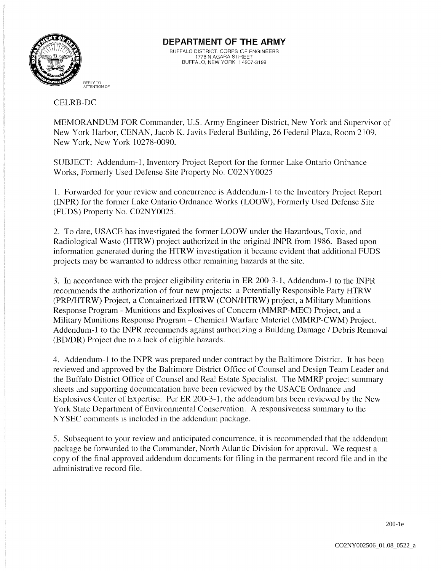

# **DEPARTMENT OF THE ARMY**

BUFFALO DISTRICT, CORPS OF ENGINEERS 1776 NIAGARA STREET BUFFALO, NEW YORK 14207-3199

#### CELRB-DC

MEMORANDUM FOR Commander, U.S. Army Engineer District, New York and Supervisor of New York Harbor, CENAN, Jacob K. Javits Federal Building, 26 Federal Plaza, Room *2109,*  New York, New York 10278-0090.

SUBJECT: Addendum-I, Inventory Project Report for the former Lake Ontario Ordnance Works, Formerly Used Defense Site Property No. C02NY0025

1. Forwarded for your review and concurrence is Addendum-I to the Inventory Project Report (INPR) for the former Lake Ontario Ordnance Works (LOOW), Formerly Used Defense Site (FUDS) Property No. C02NY0025.

2. To date, USACE has investigated the former LOOW under the Hazardous, Toxic, and Radiological Waste (HTRW) project authorized in the original INPR from 1986. Based upon information generated during the HTRW investigation it became evident that additional FUDS projects may be warranted to address other remaining hazards at the site.

3. In accordance with the project eligibility criteria in ER 200-3-1, Addendum-l to the INPR recommends the authorization of four new projects: a Potentially Responsible Party HTRW (PRP/HTRW) Project, a Containerized HTRW (CON/HTRW) project, a Military Munitions Response Program - Munitions and Explosives of Concern (MMRP-MEC) Project, and a Military Munitions Response Program – Chemical Warfare Materiel (MMRP-CWM) Project. Addendum-I to the INPR recommends against authorizing a Building Damage / Debris Removal (BD/DR) Project due to a lack of eligible hazards.

4. Addendum-l to the INPR was prepared under contract by the Baltimore District. It has been reviewed and approved by the Baltimore District Office of Counsel and Design Team Leader and the Buffalo District Office of Counsel and Real Estate Specialist. The MMRP project summary sheets and supporting documentation have been reviewed by the USACE Ordnance and Explosives Center of Expertise. Per ER 200-3-1, the addendum has been reviewed by the New York State Department of Environmental Conservation. A responsiveness summary to the NYSEC comments is included in the addendum package.

5. Subsequent to your review and anticipated concurrence, it is recommended that the addendum package be forwarded to the Commander, North Atlantic Division for approval. We request a copy of the final approved addendum documents for filing in the permanent record file and in the administrative record file.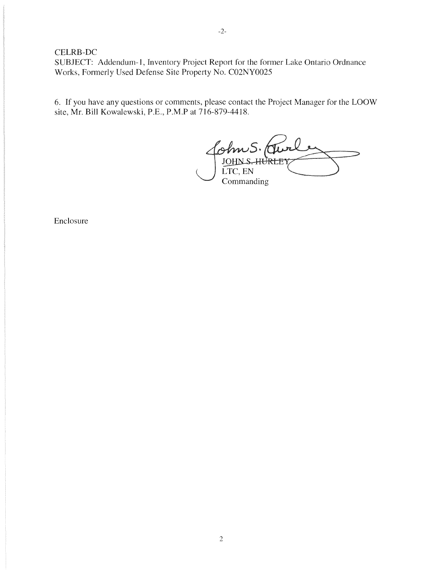### CELRB-DC

SUBJECT: Addendum-I, Inventory Project Report for the former Lake Ontario Ordnance Works, Formerly Used Defense Site Property No. C02NY0025

6. If you have any questions or comments, please contact the Project Manager for the LOOW site, Mr. Bill Kowalewski, P.E., P.M.P at 716-879-4418.

 $^2$ ohn S. (Tu LTC, EN **Commanding** 

Enclosure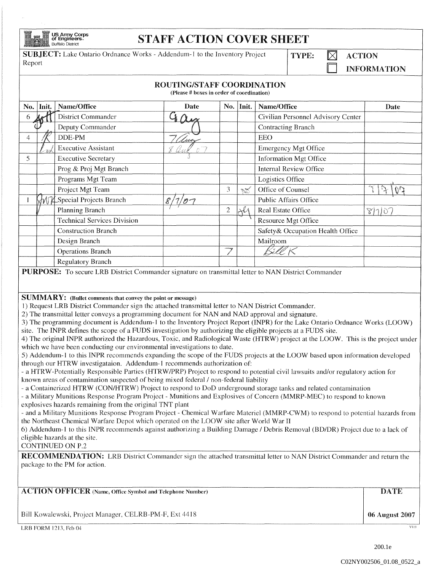| <b>Ing T</b> | US Army<br>of Engine |
|--------------|----------------------|
|              | <b>Buffalo Distr</b> |

## $\text{Corps}_{\text{test}}$  STAFF ACTION COVER SHEET

**SUBJECT:** Lake Ontario Ordnance Works - Addendum-1 to the Inventory Project Report  $\Box$  ACTION Report Report Report Report Superintendent Contains the Contact of the Contact of the Contact of the Contact of the Contact of the Contact of the Contact of the Contact of the Contact of the Contact of the Contact of the Contact

## ROUTING/STAFF COORDINATION

(Please # hoxes in order of coordination)

|                                                                                                                                                                                                                                              | No. Init. | Name/Office                                                        | Date | No.            | Init.  | Name/Office                        | Date   |  |
|----------------------------------------------------------------------------------------------------------------------------------------------------------------------------------------------------------------------------------------------|-----------|--------------------------------------------------------------------|------|----------------|--------|------------------------------------|--------|--|
| 6                                                                                                                                                                                                                                            |           | District Commander                                                 | Ű.   |                |        | Civilian Personnel Advisory Center |        |  |
|                                                                                                                                                                                                                                              |           | Deputy Commander                                                   |      |                |        | Contracting Branch                 |        |  |
| 4                                                                                                                                                                                                                                            |           | DDE-PM                                                             |      |                |        | EEO                                |        |  |
|                                                                                                                                                                                                                                              |           | <b>Executive Assistant</b>                                         |      |                |        | Emergency Mgt Office               |        |  |
| 5.                                                                                                                                                                                                                                           |           | <b>Executive Secretary</b>                                         |      |                |        | <b>Information Mgt Office</b>      |        |  |
|                                                                                                                                                                                                                                              |           | Prog & Proj Mgt Branch                                             |      |                |        | <b>Internal Review Office</b>      |        |  |
|                                                                                                                                                                                                                                              |           | Programs Mgt Team                                                  |      |                |        | Logistics Office                   |        |  |
|                                                                                                                                                                                                                                              |           | Project Mgt Team                                                   |      | 3              | $\sim$ | Office of Counsel                  |        |  |
|                                                                                                                                                                                                                                              |           | MMSpecial Projects Branch                                          |      |                |        | <b>Public Affairs Office</b>       |        |  |
|                                                                                                                                                                                                                                              |           | Planning Branch                                                    |      | $\overline{2}$ | H      | <b>Real Estate Office</b>          | 8/7/07 |  |
|                                                                                                                                                                                                                                              |           | <b>Technical Services Division</b>                                 |      |                |        | Resource Mgt Office                |        |  |
|                                                                                                                                                                                                                                              |           | <b>Construction Branch</b>                                         |      |                |        | Safety & Occupation Health Office  |        |  |
|                                                                                                                                                                                                                                              |           | Design Branch                                                      |      |                |        | Mailroom                           |        |  |
|                                                                                                                                                                                                                                              |           | <b>Operations Branch</b>                                           |      |                |        | Béll K                             |        |  |
|                                                                                                                                                                                                                                              |           | <b>Regulatory Branch</b>                                           |      |                |        |                                    |        |  |
| PURPOSE: To secure LRB District Commander signature on transmittal letter to NAN District Commander                                                                                                                                          |           |                                                                    |      |                |        |                                    |        |  |
|                                                                                                                                                                                                                                              |           | <b>SUMMARY:</b> (Bullet comments that convey the point or message) |      |                |        |                                    |        |  |
| 1) Request LRB District Commander sign the attached transmittal letter to NAN District Commander.                                                                                                                                            |           |                                                                    |      |                |        |                                    |        |  |
| 2) The transmittal letter conveys a programming document for NAN and NAD approval and signature.                                                                                                                                             |           |                                                                    |      |                |        |                                    |        |  |
| 3) The programming document is Addendum-1 to the Inventory Project Report (INPR) for the Lake Ontario Ordnance Works (LOOW)<br>site. The INPR defines the scope of a FUDS investigation by authorizing the eligible projects at a FUDS site. |           |                                                                    |      |                |        |                                    |        |  |
| 4) The original INPR authorized the Hazardous, Toxic, and Radiological Waste (HTRW) project at the LOOW. This is the project under                                                                                                           |           |                                                                    |      |                |        |                                    |        |  |
| which we have been conducting our environmental investigations to date.                                                                                                                                                                      |           |                                                                    |      |                |        |                                    |        |  |

5) Addendum-I to this INPR recommends expanding the scope of the FUDS projects at the LOOW based upon information developed through our HTRW investigataion. Addendum-I recommends authorization of:

a HTRW-Potentially Responsible Parties (HTRW/PRP) Project to respond to potential civil lawsuits and/or regulatory action for known areas of contamination suspected of being mixed federal / non-federal liability

- a Containerized HTRW (CON/HTRW) Project to respond to DoD underground storage tanks and related contamination

- a Military Munitions Response Program Project - Munitions and Explosives of Concern (MMRP-MEC) to respond to known explosives hazards remaining from the original TNT plant

- and a Military Munitions Response Program Project - Chemical Warfare Materiel (MMRP-CWM) to respond to potential hazards from the Northeast Chemical Warfare Depot which operated on the LOOW site after World War II

6) Addendum-I to this INPR recommends against authorizing a Building Damage I Debris Removal (BD/DR) Project due to a lack of eligible hazards at the site,

CONTINUED ON P.2

RECOMMENDATION: LRB District Commander sign the attached transmittal letter to NAN District Commander and return the package to the PM for action,

| <b>ACTION OFFICER</b> (Name, Office Symbol and Telephone Number) | DATE           |
|------------------------------------------------------------------|----------------|
| Bill Kowalewski, Project Manager, CELRB-PM-F, Ext 4418           | 06 August 2007 |